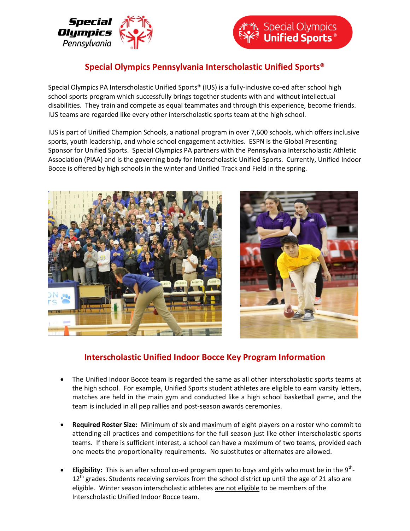



## **Special Olympics Pennsylvania Interscholastic Unified Sports®**

Special Olympics PA Interscholastic Unified Sports® (IUS) is a fully-inclusive co-ed after school high school sports program which successfully brings together students with and without intellectual disabilities. They train and compete as equal teammates and through this experience, become friends. IUS teams are regarded like every other interscholastic sports team at the high school.

IUS is part of Unified Champion Schools, a national program in over 7,600 schools, which offers inclusive sports, youth leadership, and whole school engagement activities. ESPN is the Global Presenting Sponsor for Unified Sports. Special Olympics PA partners with the Pennsylvania Interscholastic Athletic Association (PIAA) and is the governing body for Interscholastic Unified Sports. Currently, Unified Indoor Bocce is offered by high schools in the winter and Unified Track and Field in the spring.



## **Interscholastic Unified Indoor Bocce Key Program Information**

- The Unified Indoor Bocce team is regarded the same as all other interscholastic sports teams at the high school. For example, Unified Sports student athletes are eligible to earn varsity letters, matches are held in the main gym and conducted like a high school basketball game, and the team is included in all pep rallies and post-season awards ceremonies.
- **Required Roster Size:** Minimum of six and maximum of eight players on a roster who commit to attending all practices and competitions for the full season just like other interscholastic sports teams. If there is sufficient interest, a school can have a maximum of two teams, provided each one meets the proportionality requirements. No substitutes or alternates are allowed.
- **Eligibility:** This is an after school co-ed program open to boys and girls who must be in the 9<sup>th</sup>- $12<sup>th</sup>$  grades. Students receiving services from the school district up until the age of 21 also are eligible.Winter season interscholastic athletes are not eligible to be members of the Interscholastic Unified Indoor Bocce team.